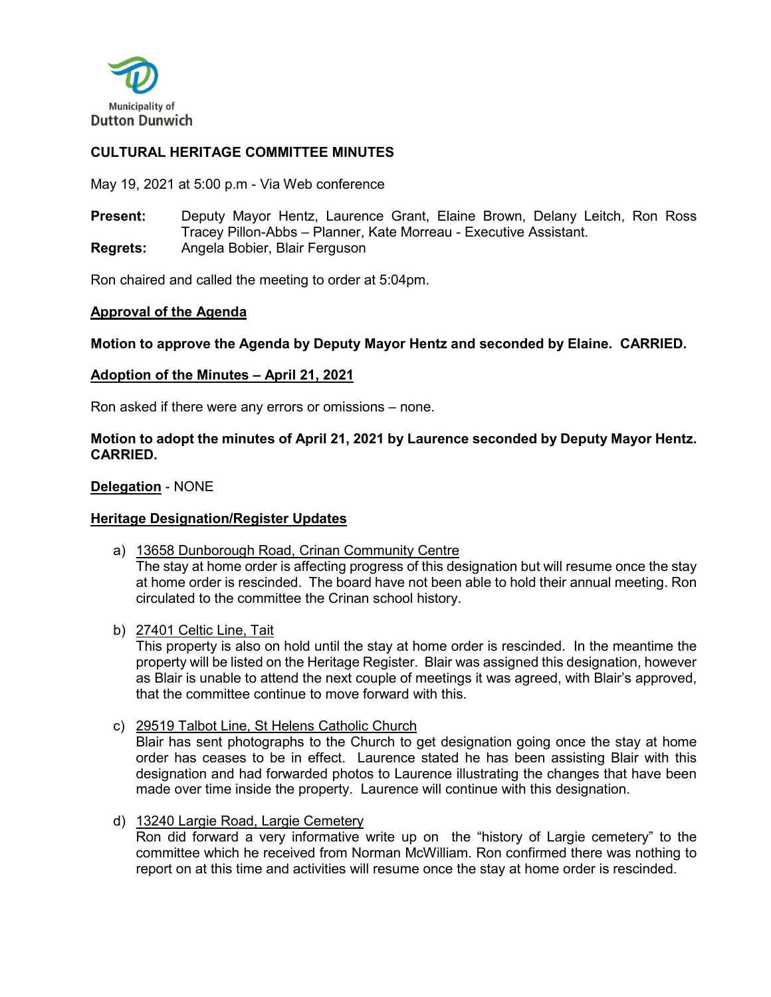

# **CULTURAL HERITAGE COMMITTEE MINUTES**

May 19, 2021 at 5:00 p.m - Via Web conference

**Present:** Deputy Mayor Hentz, Laurence Grant, Elaine Brown, Delany Leitch, Ron Ross Tracey Pillon-Abbs – Planner, Kate Morreau - Executive Assistant. **Regrets:** Angela Bobier, Blair Ferguson

Ron chaired and called the meeting to order at 5:04pm.

### **Approval of the Agenda**

**Motion to approve the Agenda by Deputy Mayor Hentz and seconded by Elaine. CARRIED.**

### **Adoption of the Minutes – April 21, 2021**

Ron asked if there were any errors or omissions – none.

### **Motion to adopt the minutes of April 21, 2021 by Laurence seconded by Deputy Mayor Hentz. CARRIED.**

### **Delegation** - NONE

### **Heritage Designation/Register Updates**

a) 13658 Dunborough Road, Crinan Community Centre

The stay at home order is affecting progress of this designation but will resume once the stay at home order is rescinded. The board have not been able to hold their annual meeting. Ron circulated to the committee the Crinan school history.

b) 27401 Celtic Line, Tait

This property is also on hold until the stay at home order is rescinded. In the meantime the property will be listed on the Heritage Register. Blair was assigned this designation, however as Blair is unable to attend the next couple of meetings it was agreed, with Blair's approved, that the committee continue to move forward with this.

c) 29519 Talbot Line, St Helens Catholic Church

Blair has sent photographs to the Church to get designation going once the stay at home order has ceases to be in effect. Laurence stated he has been assisting Blair with this designation and had forwarded photos to Laurence illustrating the changes that have been made over time inside the property. Laurence will continue with this designation.

d) 13240 Largie Road, Largie Cemetery

Ron did forward a very informative write up on the "history of Largie cemetery" to the committee which he received from Norman McWilliam. Ron confirmed there was nothing to report on at this time and activities will resume once the stay at home order is rescinded.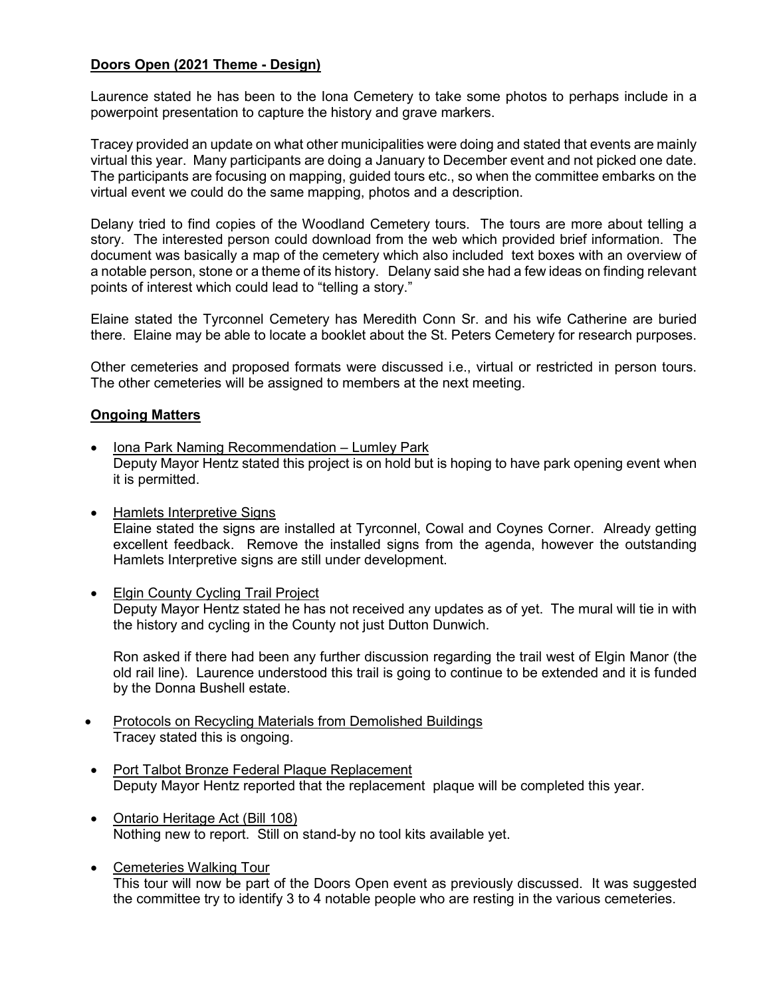## **Doors Open (2021 Theme - Design)**

Laurence stated he has been to the Iona Cemetery to take some photos to perhaps include in a powerpoint presentation to capture the history and grave markers.

Tracey provided an update on what other municipalities were doing and stated that events are mainly virtual this year. Many participants are doing a January to December event and not picked one date. The participants are focusing on mapping, guided tours etc., so when the committee embarks on the virtual event we could do the same mapping, photos and a description.

Delany tried to find copies of the Woodland Cemetery tours. The tours are more about telling a story. The interested person could download from the web which provided brief information. The document was basically a map of the cemetery which also included text boxes with an overview of a notable person, stone or a theme of its history. Delany said she had a few ideas on finding relevant points of interest which could lead to "telling a story."

Elaine stated the Tyrconnel Cemetery has Meredith Conn Sr. and his wife Catherine are buried there. Elaine may be able to locate a booklet about the St. Peters Cemetery for research purposes.

Other cemeteries and proposed formats were discussed i.e., virtual or restricted in person tours. The other cemeteries will be assigned to members at the next meeting.

## **Ongoing Matters**

- Iona Park Naming Recommendation Lumley Park Deputy Mayor Hentz stated this project is on hold but is hoping to have park opening event when it is permitted.
- Hamlets Interpretive Signs Elaine stated the signs are installed at Tyrconnel, Cowal and Coynes Corner. Already getting excellent feedback. Remove the installed signs from the agenda, however the outstanding Hamlets Interpretive signs are still under development.
- Elgin County Cycling Trail Project Deputy Mayor Hentz stated he has not received any updates as of yet. The mural will tie in with the history and cycling in the County not just Dutton Dunwich.

Ron asked if there had been any further discussion regarding the trail west of Elgin Manor (the old rail line). Laurence understood this trail is going to continue to be extended and it is funded by the Donna Bushell estate.

- Protocols on Recycling Materials from Demolished Buildings Tracey stated this is ongoing.
- Port Talbot Bronze Federal Plaque Replacement Deputy Mayor Hentz reported that the replacement plaque will be completed this year.
- Ontario Heritage Act (Bill 108) Nothing new to report. Still on stand-by no tool kits available yet.
- Cemeteries Walking Tour This tour will now be part of the Doors Open event as previously discussed. It was suggested the committee try to identify 3 to 4 notable people who are resting in the various cemeteries.